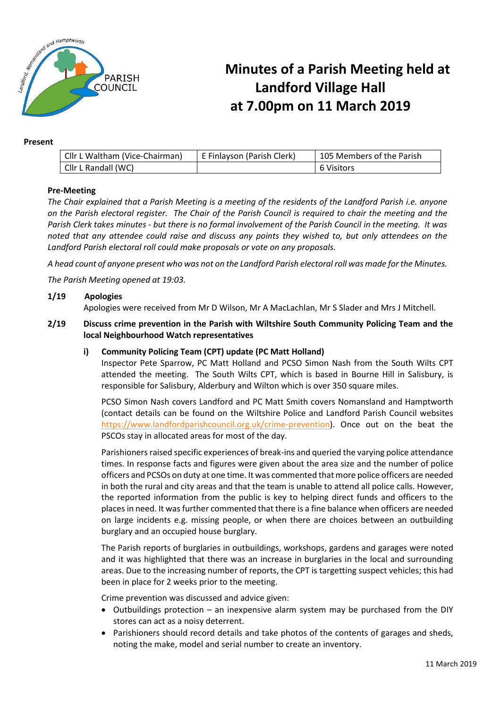

# **Minutes of a Parish Meeting held at Landford Village Hall at 7.00pm on 11 March 2019**

#### **Present**

| Cllr L Waltham (Vice-Chairman) | E Finlayson (Parish Clerk) | <sup>1</sup> 105 Members of the Parish |
|--------------------------------|----------------------------|----------------------------------------|
| Cllr L Randall (WC)            |                            | 6 Visitors                             |

## **Pre-Meeting**

*The Chair explained that a Parish Meeting is a meeting of the residents of the Landford Parish i.e. anyone on the Parish electoral register. The Chair of the Parish Council is required to chair the meeting and the Parish Clerk takes minutes - but there is no formal involvement of the Parish Council in the meeting. It was noted that any attendee could raise and discuss any points they wished to, but only attendees on the Landford Parish electoral roll could make proposals or vote on any proposals.*

*A head count of anyone present who was not on the Landford Parish electoral roll was made for the Minutes.*

*The Parish Meeting opened at 19:03.*

#### **1/19 Apologies**

Apologies were received from Mr D Wilson, Mr A MacLachlan, Mr S Slader and Mrs J Mitchell.

### **2/19 Discuss crime prevention in the Parish with Wiltshire South Community Policing Team and the local Neighbourhood Watch representatives**

## **i) Community Policing Team (CPT) update (PC Matt Holland)**

Inspector Pete Sparrow, PC Matt Holland and PCSO Simon Nash from the South Wilts CPT attended the meeting. The South Wilts CPT, which is based in Bourne Hill in Salisbury, is responsible for Salisbury, Alderbury and Wilton which is over 350 square miles.

PCSO Simon Nash covers Landford and PC Matt Smith covers Nomansland and Hamptworth (contact details can be found on the Wiltshire Police and Landford Parish Council websites [https://www.landfordparishcouncil.org.uk/crime-prevention\)](https://www.landfordparishcouncil.org.uk/crime-prevention). Once out on the beat the PSCOs stay in allocated areas for most of the day.

Parishioners raised specific experiences of break-ins and queried the varying police attendance times. In response facts and figures were given about the area size and the number of police officers and PCSOs on duty at one time. It was commented that more police officers are needed in both the rural and city areas and that the team is unable to attend all police calls. However, the reported information from the public is key to helping direct funds and officers to the places in need. It was further commented that there is a fine balance when officers are needed on large incidents e.g. missing people, or when there are choices between an outbuilding burglary and an occupied house burglary.

The Parish reports of burglaries in outbuildings, workshops, gardens and garages were noted and it was highlighted that there was an increase in burglaries in the local and surrounding areas. Due to the increasing number of reports, the CPT is targetting suspect vehicles; this had been in place for 2 weeks prior to the meeting.

Crime prevention was discussed and advice given:

- Outbuildings protection an inexpensive alarm system may be purchased from the DIY stores can act as a noisy deterrent.
- Parishioners should record details and take photos of the contents of garages and sheds, noting the make, model and serial number to create an inventory.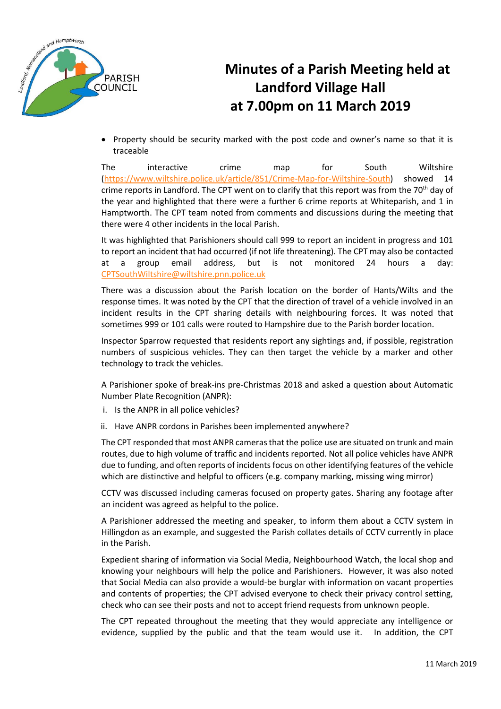

# **Minutes of a Parish Meeting held at Landford Village Hall at 7.00pm on 11 March 2019**

• Property should be security marked with the post code and owner's name so that it is traceable

The interactive crime map for South Wiltshire [\(https://www.wiltshire.police.uk/article/851/Crime-Map-for-Wiltshire-South\)](https://www.wiltshire.police.uk/article/851/Crime-Map-for-Wiltshire-South) showed 14 crime reports in Landford. The CPT went on to clarify that this report was from the 70<sup>th</sup> day of the year and highlighted that there were a further 6 crime reports at Whiteparish, and 1 in Hamptworth. The CPT team noted from comments and discussions during the meeting that there were 4 other incidents in the local Parish.

It was highlighted that Parishioners should call 999 to report an incident in progress and 101 to report an incident that had occurred (if not life threatening). The CPT may also be contacted at a group email address, but is not monitored 24 hours a day: [CPTSouthWiltshire@wiltshire.pnn.police.uk](mailto:CPTSouthWiltshire@wiltshire.pnn.police.uk)

There was a discussion about the Parish location on the border of Hants/Wilts and the response times. It was noted by the CPT that the direction of travel of a vehicle involved in an incident results in the CPT sharing details with neighbouring forces. It was noted that sometimes 999 or 101 calls were routed to Hampshire due to the Parish border location.

Inspector Sparrow requested that residents report any sightings and, if possible, registration numbers of suspicious vehicles. They can then target the vehicle by a marker and other technology to track the vehicles.

A Parishioner spoke of break-ins pre-Christmas 2018 and asked a question about Automatic Number Plate Recognition (ANPR):

- i. Is the ANPR in all police vehicles?
- ii. Have ANPR cordons in Parishes been implemented anywhere?

The CPT responded that most ANPR cameras that the police use are situated on trunk and main routes, due to high volume of traffic and incidents reported. Not all police vehicles have ANPR due to funding, and often reports of incidents focus on other identifying features of the vehicle which are distinctive and helpful to officers (e.g. company marking, missing wing mirror)

CCTV was discussed including cameras focused on property gates. Sharing any footage after an incident was agreed as helpful to the police.

A Parishioner addressed the meeting and speaker, to inform them about a CCTV system in Hillingdon as an example, and suggested the Parish collates details of CCTV currently in place in the Parish.

Expedient sharing of information via Social Media, Neighbourhood Watch, the local shop and knowing your neighbours will help the police and Parishioners. However, it was also noted that Social Media can also provide a would-be burglar with information on vacant properties and contents of properties; the CPT advised everyone to check their privacy control setting, check who can see their posts and not to accept friend requests from unknown people.

The CPT repeated throughout the meeting that they would appreciate any intelligence or evidence, supplied by the public and that the team would use it. In addition, the CPT